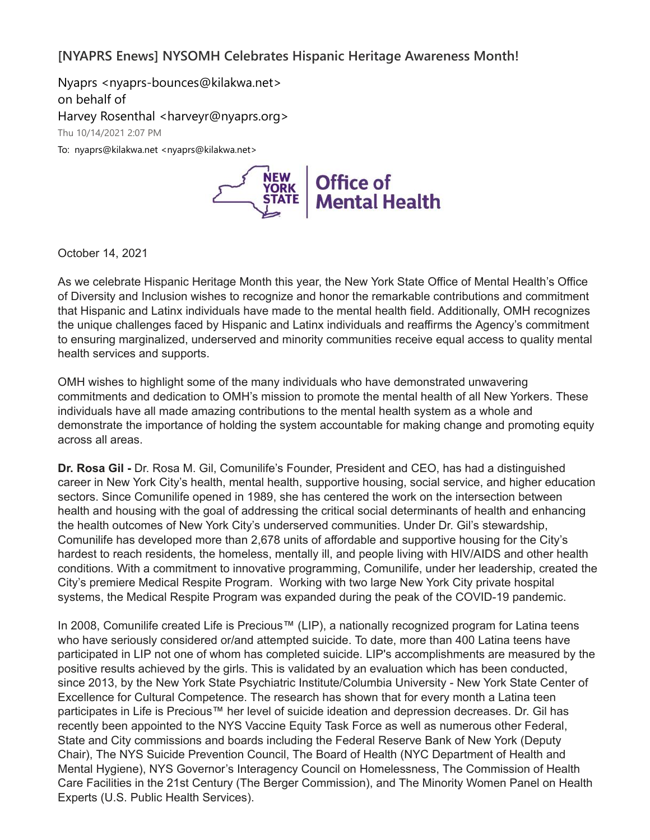## **[NYAPRS Enews] NYSOMH Celebrates Hispanic Heritage Awareness Month!**

Nyaprs <nyaprs-bounces@kilakwa.net> on behalf of Harvey Rosenthal <harveyr@nyaprs.org> Thu 10/14/2021 2:07 PM To: nyaprs@kilakwa.net <nyaprs@kilakwa.net>



October 14, 2021

As we celebrate Hispanic Heritage Month this year, the New York State Office of Mental Health's Office of Diversity and Inclusion wishes to recognize and honor the remarkable contributions and commitment that Hispanic and Latinx individuals have made to the mental health field. Additionally, OMH recognizes the unique challenges faced by Hispanic and Latinx individuals and reaffirms the Agency's commitment to ensuring marginalized, underserved and minority communities receive equal access to quality mental health services and supports.

OMH wishes to highlight some of the many individuals who have demonstrated unwavering commitments and dedication to OMH's mission to promote the mental health of all New Yorkers. These individuals have all made amazing contributions to the mental health system as a whole and demonstrate the importance of holding the system accountable for making change and promoting equity across all areas.

**Dr. Rosa Gil -** Dr. Rosa M. Gil, Comunilife's Founder, President and CEO, has had a distinguished career in New York City's health, mental health, supportive housing, social service, and higher education sectors. Since Comunilife opened in 1989, she has centered the work on the intersection between health and housing with the goal of addressing the critical social determinants of health and enhancing the health outcomes of New York City's underserved communities. Under Dr. Gil's stewardship, Comunilife has developed more than 2,678 units of affordable and supportive housing for the City's hardest to reach residents, the homeless, mentally ill, and people living with HIV/AIDS and other health conditions. With a commitment to innovative programming, Comunilife, under her leadership, created the City's premiere Medical Respite Program. Working with two large New York City private hospital systems, the Medical Respite Program was expanded during the peak of the COVID-19 pandemic.

In 2008, Comunilife created Life is Precious™ (LIP), a nationally recognized program for Latina teens who have seriously considered or/and attempted suicide. To date, more than 400 Latina teens have participated in LIP not one of whom has completed suicide. LIP's accomplishments are measured by the positive results achieved by the girls. This is validated by an evaluation which has been conducted, since 2013, by the New York State Psychiatric Institute/Columbia University - New York State Center of Excellence for Cultural Competence. The research has shown that for every month a Latina teen participates in Life is Precious™ her level of suicide ideation and depression decreases. Dr. Gil has recently been appointed to the NYS Vaccine Equity Task Force as well as numerous other Federal, State and City commissions and boards including the Federal Reserve Bank of New York (Deputy Chair), The NYS Suicide Prevention Council, The Board of Health (NYC Department of Health and Mental Hygiene), NYS Governor's Interagency Council on Homelessness, The Commission of Health Care Facilities in the 21st Century (The Berger Commission), and The Minority Women Panel on Health Experts (U.S. Public Health Services).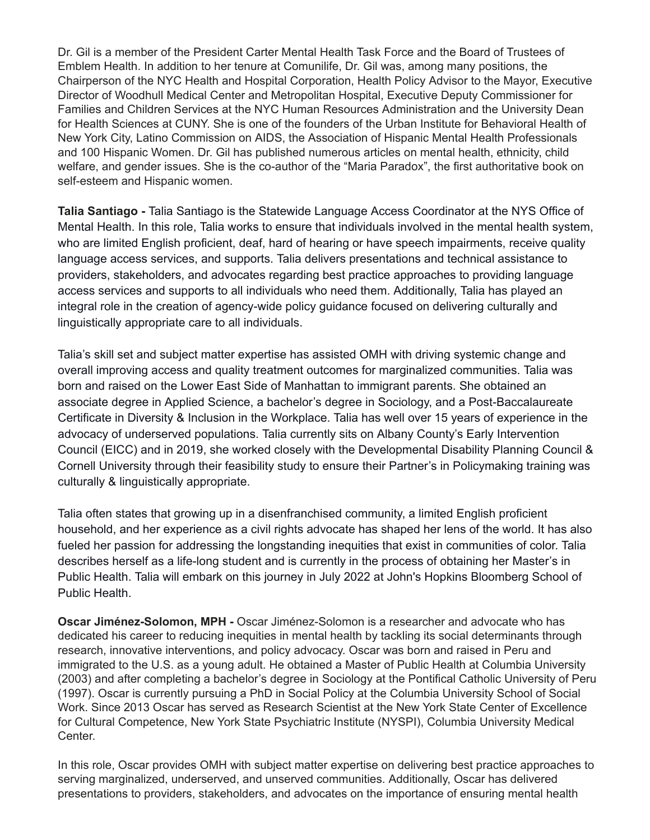Dr. Gil is a member of the President Carter Mental Health Task Force and the Board of Trustees of Emblem Health. In addition to her tenure at Comunilife, Dr. Gil was, among many positions, the Chairperson of the NYC Health and Hospital Corporation, Health Policy Advisor to the Mayor, Executive Director of Woodhull Medical Center and Metropolitan Hospital, Executive Deputy Commissioner for Families and Children Services at the NYC Human Resources Administration and the University Dean for Health Sciences at CUNY. She is one of the founders of the Urban Institute for Behavioral Health of New York City, Latino Commission on AIDS, the Association of Hispanic Mental Health Professionals and 100 Hispanic Women. Dr. Gil has published numerous articles on mental health, ethnicity, child welfare, and gender issues. She is the co-author of the "Maria Paradox", the first authoritative book on self-esteem and Hispanic women.

**Talia Santiago -** Talia Santiago is the Statewide Language Access Coordinator at the NYS Office of Mental Health. In this role, Talia works to ensure that individuals involved in the mental health system, who are limited English proficient, deaf, hard of hearing or have speech impairments, receive quality language access services, and supports. Talia delivers presentations and technical assistance to providers, stakeholders, and advocates regarding best practice approaches to providing language access services and supports to all individuals who need them. Additionally, Talia has played an integral role in the creation of agency-wide policy guidance focused on delivering culturally and linguistically appropriate care to all individuals.

Talia's skill set and subject matter expertise has assisted OMH with driving systemic change and overall improving access and quality treatment outcomes for marginalized communities. Talia was born and raised on the Lower East Side of Manhattan to immigrant parents. She obtained an associate degree in Applied Science, a bachelor's degree in Sociology, and a Post-Baccalaureate Certificate in Diversity & Inclusion in the Workplace. Talia has well over 15 years of experience in the advocacy of underserved populations. Talia currently sits on Albany County's Early Intervention Council (EICC) and in 2019, she worked closely with the Developmental Disability Planning Council & Cornell University through their feasibility study to ensure their Partner's in Policymaking training was culturally & linguistically appropriate.

Talia often states that growing up in a disenfranchised community, a limited English proficient household, and her experience as a civil rights advocate has shaped her lens of the world. It has also fueled her passion for addressing the longstanding inequities that exist in communities of color. Talia describes herself as a life-long student and is currently in the process of obtaining her Master's in Public Health. Talia will embark on this journey in July 2022 at John's Hopkins Bloomberg School of Public Health.

**Oscar Jiménez-Solomon, MPH -** Oscar Jiménez-Solomon is a researcher and advocate who has dedicated his career to reducing inequities in mental health by tackling its social determinants through research, innovative interventions, and policy advocacy. Oscar was born and raised in Peru and immigrated to the U.S. as a young adult. He obtained a Master of Public Health at Columbia University (2003) and after completing a bachelor's degree in Sociology at the Pontifical Catholic University of Peru (1997). Oscar is currently pursuing a PhD in Social Policy at the Columbia University School of Social Work. Since 2013 Oscar has served as Research Scientist at the New York State Center of Excellence for Cultural Competence, New York State Psychiatric Institute (NYSPI), Columbia University Medical Center.

In this role, Oscar provides OMH with subject matter expertise on delivering best practice approaches to serving marginalized, underserved, and unserved communities. Additionally, Oscar has delivered presentations to providers, stakeholders, and advocates on the importance of ensuring mental health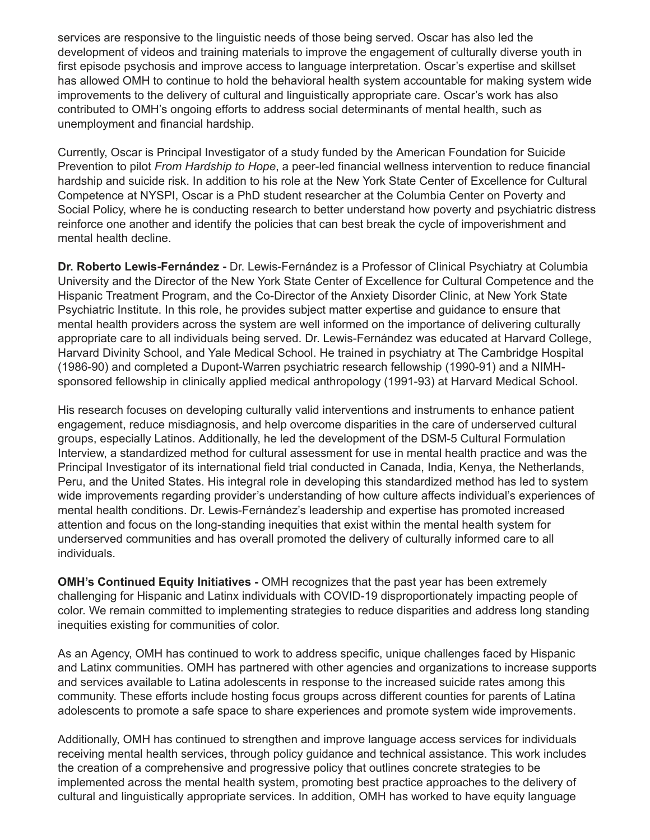services are responsive to the linguistic needs of those being served. Oscar has also led the development of videos and training materials to improve the engagement of culturally diverse youth in first episode psychosis and improve access to language interpretation. Oscar's expertise and skillset has allowed OMH to continue to hold the behavioral health system accountable for making system wide improvements to the delivery of cultural and linguistically appropriate care. Oscar's work has also contributed to OMH's ongoing efforts to address social determinants of mental health, such as unemployment and financial hardship.

Currently, Oscar is Principal Investigator of a study funded by the American Foundation for Suicide Prevention to pilot *From Hardship to Hope*, a peer-led financial wellness intervention to reduce financial hardship and suicide risk. In addition to his role at the New York State Center of Excellence for Cultural Competence at NYSPI, Oscar is a PhD student researcher at the Columbia Center on Poverty and Social Policy, where he is conducting research to better understand how poverty and psychiatric distress reinforce one another and identify the policies that can best break the cycle of impoverishment and mental health decline.

**Dr. Roberto Lewis-Fernández -** Dr. Lewis-Fernández is a Professor of Clinical Psychiatry at Columbia University and the Director of the New York State Center of Excellence for Cultural Competence and the Hispanic Treatment Program, and the Co-Director of the Anxiety Disorder Clinic, at New York State Psychiatric Institute. In this role, he provides subject matter expertise and guidance to ensure that mental health providers across the system are well informed on the importance of delivering culturally appropriate care to all individuals being served. Dr. Lewis-Fernández was educated at Harvard College, Harvard Divinity School, and Yale Medical School. He trained in psychiatry at The Cambridge Hospital (1986-90) and completed a Dupont-Warren psychiatric research fellowship (1990-91) and a NIMHsponsored fellowship in clinically applied medical anthropology (1991-93) at Harvard Medical School.

His research focuses on developing culturally valid interventions and instruments to enhance patient engagement, reduce misdiagnosis, and help overcome disparities in the care of underserved cultural groups, especially Latinos. Additionally, he led the development of the DSM-5 Cultural Formulation Interview, a standardized method for cultural assessment for use in mental health practice and was the Principal Investigator of its international field trial conducted in Canada, India, Kenya, the Netherlands, Peru, and the United States. His integral role in developing this standardized method has led to system wide improvements regarding provider's understanding of how culture affects individual's experiences of mental health conditions. Dr. Lewis-Fernández's leadership and expertise has promoted increased attention and focus on the long-standing inequities that exist within the mental health system for underserved communities and has overall promoted the delivery of culturally informed care to all individuals.

**OMH's Continued Equity Initiatives -** OMH recognizes that the past year has been extremely challenging for Hispanic and Latinx individuals with COVID-19 disproportionately impacting people of color. We remain committed to implementing strategies to reduce disparities and address long standing inequities existing for communities of color.

As an Agency, OMH has continued to work to address specific, unique challenges faced by Hispanic and Latinx communities. OMH has partnered with other agencies and organizations to increase supports and services available to Latina adolescents in response to the increased suicide rates among this community. These efforts include hosting focus groups across different counties for parents of Latina adolescents to promote a safe space to share experiences and promote system wide improvements.

Additionally, OMH has continued to strengthen and improve language access services for individuals receiving mental health services, through policy guidance and technical assistance. This work includes the creation of a comprehensive and progressive policy that outlines concrete strategies to be implemented across the mental health system, promoting best practice approaches to the delivery of cultural and linguistically appropriate services. In addition, OMH has worked to have equity language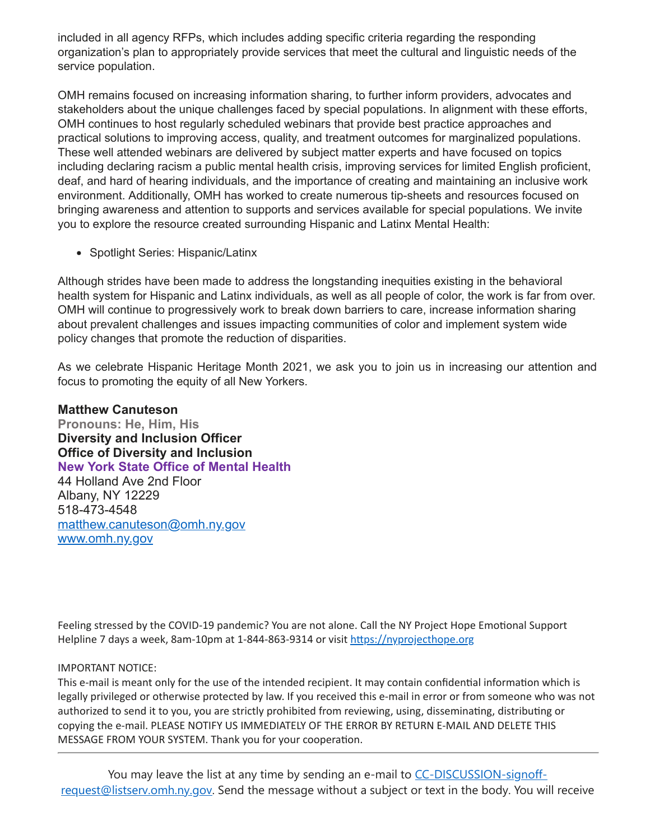included in all agency RFPs, which includes adding specific criteria regarding the responding organization's plan to appropriately provide services that meet the cultural and linguistic needs of the service population.

OMH remains focused on increasing information sharing, to further inform providers, advocates and stakeholders about the unique challenges faced by special populations. In alignment with these efforts, OMH continues to host regularly scheduled webinars that provide best practice approaches and practical solutions to improving access, quality, and treatment outcomes for marginalized populations. These well attended webinars are delivered by subject matter experts and have focused on topics including declaring racism a public mental health crisis, improving services for limited English proficient, deaf, and hard of hearing individuals, and the importance of creating and maintaining an inclusive work environment. Additionally, OMH has worked to create numerous tip-sheets and resources focused on bringing awareness and attention to supports and services available for special populations. We invite you to explore the resource created surrounding Hispanic and Latinx Mental Health:

• Spotlight Series: Hispanic/Latinx

Although strides have been made to address the longstanding inequities existing in the behavioral health system for Hispanic and Latinx individuals, as well as all people of color, the work is far from over. OMH will continue to progressively work to break down barriers to care, increase information sharing about prevalent challenges and issues impacting communities of color and implement system wide policy changes that promote the reduction of disparities.

As we celebrate Hispanic Heritage Month 2021, we ask you to join us in increasing our attention and focus to promoting the equity of all New Yorkers.

**Matthew Canuteson Pronouns: He, Him, His Diversity and Inclusion Officer Office of Diversity and Inclusion New York State Office of Mental Health** 44 Holland Ave 2nd Floor Albany, NY 12229 518-473-4548 [matthew.canuteson@omh.ny.gov](mailto:matthew.canuteson@omh.ny.gov) [www.omh.ny.gov](https://nam02.safelinks.protection.outlook.com/?url=https%3A%2F%2Furldefense.proofpoint.com%2Fv2%2Furl%3Fu%3Dhttp-3A__www.omh.ny.gov_%26d%3DDwMFAw%26c%3DeuGZstcaTDllvimEN8b7jXrwqOf-v5A_CdpgnVfiiMM%26r%3DRZKMmiODsL8lW1CvoyvccXL03-Qr4iqDejsjr8b_Vqs%26m%3DpqOLSNGdsOogKmpMNd0srJlZ8cE9V6rNuv6AZVMrdxU%26s%3DfOyG-HMm76w9Oa9Cls-rYNqMTc9jq0nQjv0u5lqlsCg%26e%3D&data=04%7C01%7Crmc277%40shp.rutgers.edu%7Cd070e1ac17eb4aa0eabe08d98f3d2c3e%7Cb92d2b234d35447093ff69aca6632ffe%7C1%7C0%7C637698316328172487%7CUnknown%7CTWFpbGZsb3d8eyJWIjoiMC4wLjAwMDAiLCJQIjoiV2luMzIiLCJBTiI6Ik1haWwiLCJXVCI6Mn0%3D%7C0&sdata=%2BT%2FC5w9FIoUkLUWJJh3iBiN4Rlg02P%2F8cUQUdzcQ6fc%3D&reserved=0)

Feeling stressed by the COVID-19 pandemic? You are not alone. Call the NY Project Hope Emotional Support Helpline 7 days a week, 8am-10pm at 1-844-863-9314 or visit [https://nyprojecthope.org](https://nam02.safelinks.protection.outlook.com/?url=https%3A%2F%2Fnyprojecthope.org%2F&data=04%7C01%7Crmc277%40shp.rutgers.edu%7Cd070e1ac17eb4aa0eabe08d98f3d2c3e%7Cb92d2b234d35447093ff69aca6632ffe%7C1%7C0%7C637698316328172487%7CUnknown%7CTWFpbGZsb3d8eyJWIjoiMC4wLjAwMDAiLCJQIjoiV2luMzIiLCJBTiI6Ik1haWwiLCJXVCI6Mn0%3D%7C0&sdata=A1iGL7aN5huREzWaDibnZNtQstaIPdqb0UxVWxQEr40%3D&reserved=0)

## IMPORTANT NOTICE:

This e-mail is meant only for the use of the intended recipient. It may contain confidential information which is legally privileged or otherwise protected by law. If you received this e-mail in error or from someone who was not authorized to send it to you, you are strictly prohibited from reviewing, using, disseminating, distributing or copying the e-mail. PLEASE NOTIFY US IMMEDIATELY OF THE ERROR BY RETURN E-MAIL AND DELETE THIS MESSAGE FROM YOUR SYSTEM. Thank you for your cooperation.

You may leave the list at any time by sending an e-mail to CC-DISCUSSION-signoff[request@listserv.omh.ny.gov. Send the message without a subject or text in the body. You wi](mailto:CC-DISCUSSION-signoff-request@listserv.omh.ny.gov)ll receive